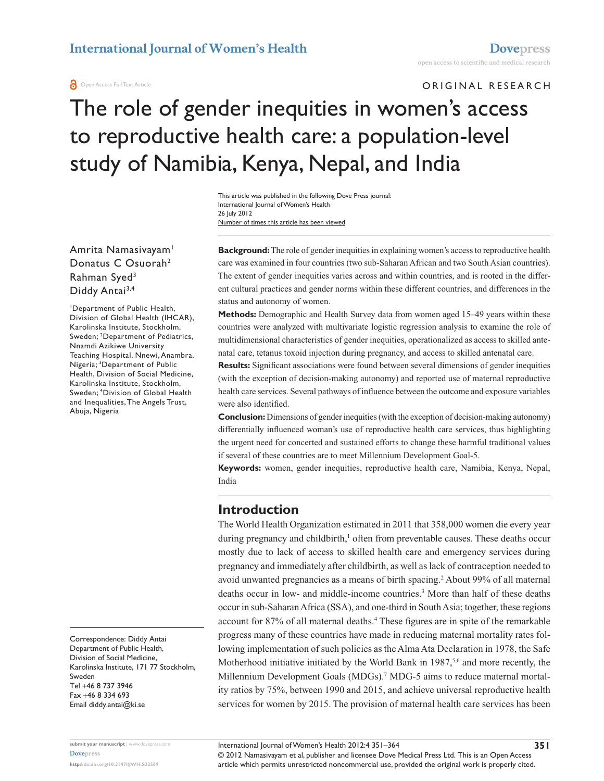#### **a** Open Access Full Text Article

ORIGINAL RESEARCH

# The role of gender inequities in women's access to reproductive health care: a population-level study of Namibia, Kenya, Nepal, and India

Number of times this article has been viewed This article was published in the following Dove Press journal: International Journal of Women's Health 26 July 2012

Amrita Namasivayam<sup>1</sup> Donatus C Osuorah2 Rahman Syed3 Diddy Antai<sup>3,4</sup>

1 Department of Public Health, Division of Global Health (IHCAR), Karolinska Institute, Stockholm, Sweden; 2 Department of Pediatrics, Nnamdi Azikiwe University Teaching Hospital, Nnewi, Anambra, Nigeria; 3 Department of Public Health, Division of Social Medicine, Karolinska Institute, Stockholm, Sweden; 4 Division of Global Health and Inequalities, The Angels Trust, Abuja, Nigeria

Correspondence: Diddy Antai Department of Public Health, Division of Social Medicine, Karolinska Institute, 171 77 Stockholm, Sweden Tel +46 8 737 3946 Fax +46 8 334 693 Email [diddy.antai@ki.se](mailto:diddy.antai@ki.se)

**Background:** The role of gender inequities in explaining women's access to reproductive health care was examined in four countries (two sub-Saharan African and two South Asian countries). The extent of gender inequities varies across and within countries, and is rooted in the different cultural practices and gender norms within these different countries, and differences in the status and autonomy of women.

**Methods:** Demographic and Health Survey data from women aged 15–49 years within these countries were analyzed with multivariate logistic regression analysis to examine the role of multidimensional characteristics of gender inequities, operationalized as access to skilled antenatal care, tetanus toxoid injection during pregnancy, and access to skilled antenatal care.

**Results:** Significant associations were found between several dimensions of gender inequities (with the exception of decision-making autonomy) and reported use of maternal reproductive health care services. Several pathways of influence between the outcome and exposure variables were also identified.

**Conclusion:** Dimensions of gender inequities (with the exception of decision-making autonomy) differentially influenced woman's use of reproductive health care services, thus highlighting the urgent need for concerted and sustained efforts to change these harmful traditional values if several of these countries are to meet Millennium Development Goal-5.

**Keywords:** women, gender inequities, reproductive health care, Namibia, Kenya, Nepal, India

# **Introduction**

The World Health Organization estimated in 2011 that 358,000 women die every year during pregnancy and childbirth,<sup>1</sup> often from preventable causes. These deaths occur mostly due to lack of access to skilled health care and emergency services during pregnancy and immediately after childbirth, as well as lack of contraception needed to avoid unwanted pregnancies as a means of birth spacing.2 About 99% of all maternal deaths occur in low- and middle-income countries.<sup>3</sup> More than half of these deaths occur in sub-Saharan Africa (SSA), and one-third in South Asia; together, these regions account for 87% of all maternal deaths.4 These figures are in spite of the remarkable progress many of these countries have made in reducing maternal mortality rates following implementation of such policies as the Alma Ata Declaration in 1978, the Safe Motherhood initiative initiated by the World Bank in 1987,<sup>5,6</sup> and more recently, the Millennium Development Goals (MDGs).<sup>7</sup> MDG-5 aims to reduce maternal mortality ratios by 75%, between 1990 and 2015, and achieve universal reproductive health services for women by 2015. The provision of maternal health care services has been

**[Dovepress](www.dovepress.com)**

**submit your manuscript** | <www.dovepress.com>

© 2012 Namasivayam et al, publisher and licensee Dove Medical Press Ltd. This is an Open Access article which permits unrestricted noncommercial use, provided the original work is properly cited.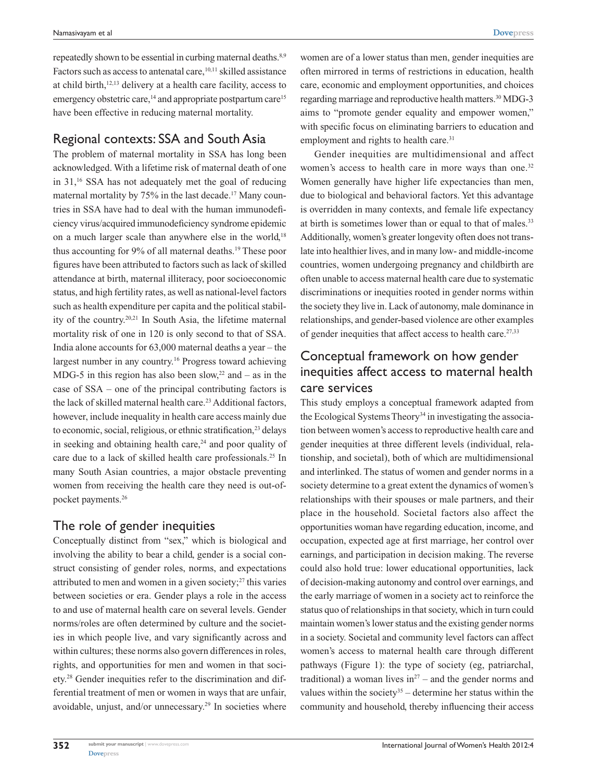repeatedly shown to be essential in curbing maternal deaths.<sup>8,9</sup> Factors such as access to antenatal care,<sup>10,11</sup> skilled assistance at child birth,12,13 delivery at a health care facility, access to emergency obstetric care,<sup>14</sup> and appropriate postpartum care<sup>15</sup> have been effective in reducing maternal mortality.

# Regional contexts: SSA and South Asia

The problem of maternal mortality in SSA has long been acknowledged. With a lifetime risk of maternal death of one in 31,16 SSA has not adequately met the goal of reducing maternal mortality by 75% in the last decade.<sup>17</sup> Many countries in SSA have had to deal with the human immunodeficiency virus/acquired immunodeficiency syndrome epidemic on a much larger scale than anywhere else in the world,<sup>18</sup> thus accounting for 9% of all maternal deaths.<sup>19</sup> These poor figures have been attributed to factors such as lack of skilled attendance at birth, maternal illiteracy, poor socioeconomic status, and high fertility rates, as well as national-level factors such as health expenditure per capita and the political stability of the country.20,21 In South Asia, the lifetime maternal mortality risk of one in 120 is only second to that of SSA. India alone accounts for 63,000 maternal deaths a year – the largest number in any country.16 Progress toward achieving MDG-5 in this region has also been slow,<sup>22</sup> and  $-$  as in the case of SSA – one of the principal contributing factors is the lack of skilled maternal health care.<sup>23</sup> Additional factors, however, include inequality in health care access mainly due to economic, social, religious, or ethnic stratification,<sup>23</sup> delays in seeking and obtaining health care, $24$  and poor quality of care due to a lack of skilled health care professionals.<sup>25</sup> In many South Asian countries, a major obstacle preventing women from receiving the health care they need is out-ofpocket payments.26

# The role of gender inequities

Conceptually distinct from "sex," which is biological and involving the ability to bear a child, gender is a social construct consisting of gender roles, norms, and expectations attributed to men and women in a given society;<sup>27</sup> this varies between societies or era. Gender plays a role in the access to and use of maternal health care on several levels. Gender norms/roles are often determined by culture and the societies in which people live, and vary significantly across and within cultures; these norms also govern differences in roles, rights, and opportunities for men and women in that society.28 Gender inequities refer to the discrimination and differential treatment of men or women in ways that are unfair, avoidable, unjust, and/or unnecessary.29 In societies where

women are of a lower status than men, gender inequities are often mirrored in terms of restrictions in education, health care, economic and employment opportunities, and choices regarding marriage and reproductive health matters.30 MDG-3 aims to "promote gender equality and empower women," with specific focus on eliminating barriers to education and employment and rights to health care.<sup>31</sup>

Gender inequities are multidimensional and affect women's access to health care in more ways than one.<sup>32</sup> Women generally have higher life expectancies than men, due to biological and behavioral factors. Yet this advantage is overridden in many contexts, and female life expectancy at birth is sometimes lower than or equal to that of males.<sup>33</sup> Additionally, women's greater longevity often does not translate into healthier lives, and in many low- and middle-income countries, women undergoing pregnancy and childbirth are often unable to access maternal health care due to systematic discriminations or inequities rooted in gender norms within the society they live in. Lack of autonomy, male dominance in relationships, and gender-based violence are other examples of gender inequities that affect access to health care. $27,33$ 

# Conceptual framework on how gender inequities affect access to maternal health care services

This study employs a conceptual framework adapted from the Ecological Systems Theory<sup>34</sup> in investigating the association between women's access to reproductive health care and gender inequities at three different levels (individual, relationship, and societal), both of which are multidimensional and interlinked. The status of women and gender norms in a society determine to a great extent the dynamics of women's relationships with their spouses or male partners, and their place in the household. Societal factors also affect the opportunities woman have regarding education, income, and occupation, expected age at first marriage, her control over earnings, and participation in decision making. The reverse could also hold true: lower educational opportunities, lack of decision-making autonomy and control over earnings, and the early marriage of women in a society act to reinforce the status quo of relationships in that society, which in turn could maintain women's lower status and the existing gender norms in a society. Societal and community level factors can affect women's access to maternal health care through different pathways (Figure 1): the type of society (eg, patriarchal, traditional) a woman lives  $in^{27}$  – and the gender norms and values within the society<sup>35</sup> – determine her status within the community and household, thereby influencing their access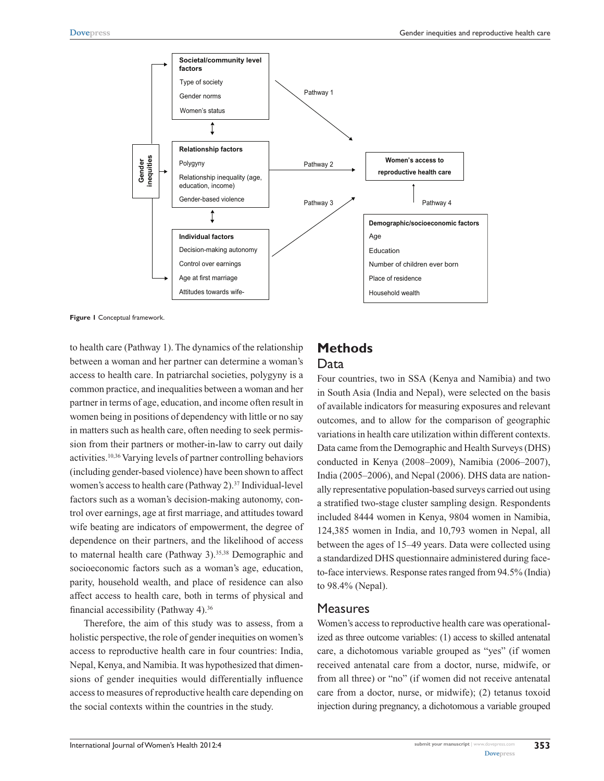

**Figure 1** Conceptual framework.

to health care (Pathway 1). The dynamics of the relationship between a woman and her partner can determine a woman's access to health care. In patriarchal societies, polygyny is a common practice, and inequalities between a woman and her partner in terms of age, education, and income often result in women being in positions of dependency with little or no say in matters such as health care, often needing to seek permission from their partners or mother-in-law to carry out daily activities.10,36 Varying levels of partner controlling behaviors (including gender-based violence) have been shown to affect women's access to health care (Pathway 2).<sup>37</sup> Individual-level factors such as a woman's decision-making autonomy, control over earnings, age at first marriage, and attitudes toward wife beating are indicators of empowerment, the degree of dependence on their partners, and the likelihood of access to maternal health care (Pathway 3).<sup>35,38</sup> Demographic and socioeconomic factors such as a woman's age, education, parity, household wealth, and place of residence can also affect access to health care, both in terms of physical and financial accessibility (Pathway 4).36

Therefore, the aim of this study was to assess, from a holistic perspective, the role of gender inequities on women's access to reproductive health care in four countries: India, Nepal, Kenya, and Namibia. It was hypothesized that dimensions of gender inequities would differentially influence access to measures of reproductive health care depending on the social contexts within the countries in the study.

# **Methods** Data

Four countries, two in SSA (Kenya and Namibia) and two in South Asia (India and Nepal), were selected on the basis of available indicators for measuring exposures and relevant outcomes, and to allow for the comparison of geographic variations in health care utilization within different contexts. Data came from the Demographic and Health Surveys (DHS) conducted in Kenya (2008–2009), Namibia (2006–2007), India (2005–2006), and Nepal (2006). DHS data are nationally representative population-based surveys carried out using a stratified two-stage cluster sampling design. Respondents included 8444 women in Kenya, 9804 women in Namibia, 124,385 women in India, and 10,793 women in Nepal, all between the ages of 15–49 years. Data were collected using a standardized DHS questionnaire administered during faceto-face interviews. Response rates ranged from 94.5% (India) to 98.4% (Nepal).

### **Measures**

Women's access to reproductive health care was operationalized as three outcome variables: (1) access to skilled antenatal care, a dichotomous variable grouped as "yes" (if women received antenatal care from a doctor, nurse, midwife, or from all three) or "no" (if women did not receive antenatal care from a doctor, nurse, or midwife); (2) tetanus toxoid injection during pregnancy, a dichotomous a variable grouped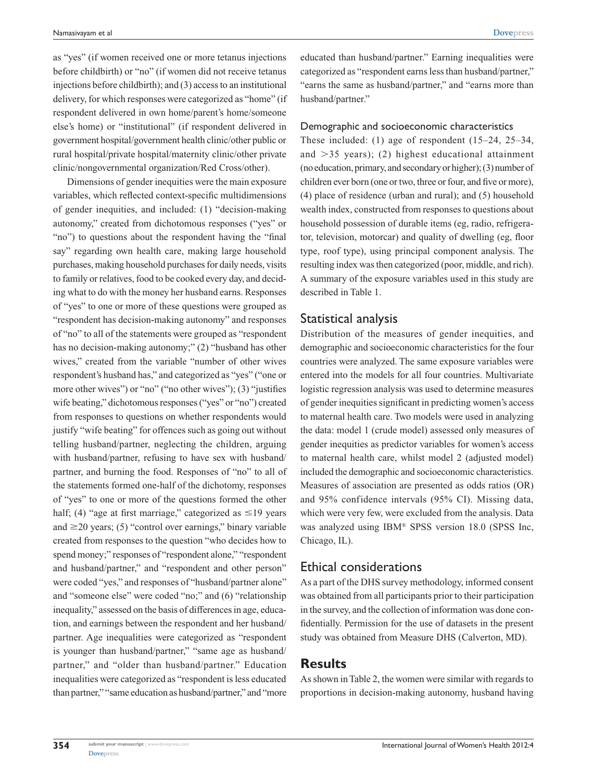**[Dovepress](www.dovepress.com)**

as "yes" (if women received one or more tetanus injections before childbirth) or "no" (if women did not receive tetanus injections before childbirth); and (3) access to an institutional delivery, for which responses were categorized as "home" (if respondent delivered in own home/parent's home/someone else's home) or "institutional" (if respondent delivered in government hospital/government health clinic/other public or rural hospital/private hospital/maternity clinic/other private clinic/nongovernmental organization/Red Cross/other).

Dimensions of gender inequities were the main exposure variables, which reflected context-specific multidimensions of gender inequities, and included: (1) "decision-making autonomy," created from dichotomous responses ("yes" or "no") to questions about the respondent having the "final say" regarding own health care, making large household purchases, making household purchases for daily needs, visits to family or relatives, food to be cooked every day, and deciding what to do with the money her husband earns. Responses of "yes" to one or more of these questions were grouped as "respondent has decision-making autonomy" and responses of "no" to all of the statements were grouped as "respondent has no decision-making autonomy;" (2) "husband has other wives," created from the variable "number of other wives respondent's husband has," and categorized as "yes" ("one or more other wives") or "no" ("no other wives"); (3) "justifies wife beating," dichotomous responses ("yes" or "no") created from responses to questions on whether respondents would justify "wife beating" for offences such as going out without telling husband/partner, neglecting the children, arguing with husband/partner, refusing to have sex with husband/ partner, and burning the food. Responses of "no" to all of the statements formed one-half of the dichotomy, responses of "yes" to one or more of the questions formed the other half; (4) "age at first marriage," categorized as  $\leq$ 19 years and  $\geq$ 20 years; (5) "control over earnings," binary variable created from responses to the question "who decides how to spend money;" responses of "respondent alone," "respondent and husband/partner," and "respondent and other person" were coded "yes," and responses of "husband/partner alone" and "someone else" were coded "no;" and (6) "relationship inequality," assessed on the basis of differences in age, education, and earnings between the respondent and her husband/ partner. Age inequalities were categorized as "respondent is younger than husband/partner," "same age as husband/ partner," and "older than husband/partner." Education inequalities were categorized as "respondent is less educated than partner," "same education as husband/partner," and "more educated than husband/partner." Earning inequalities were categorized as "respondent earns less than husband/partner," "earns the same as husband/partner," and "earns more than husband/partner."

#### Demographic and socioeconomic characteristics

These included: (1) age of respondent (15–24, 25–34, and  $>35$  years); (2) highest educational attainment (no education, primary, and secondary or higher); (3) number of children ever born (one or two, three or four, and five or more), (4) place of residence (urban and rural); and (5) household wealth index, constructed from responses to questions about household possession of durable items (eg, radio, refrigerator, television, motorcar) and quality of dwelling (eg, floor type, roof type), using principal component analysis. The resulting index was then categorized (poor, middle, and rich). A summary of the exposure variables used in this study are described in Table 1.

## Statistical analysis

Distribution of the measures of gender inequities, and demographic and socioeconomic characteristics for the four countries were analyzed. The same exposure variables were entered into the models for all four countries. Multivariate logistic regression analysis was used to determine measures of gender inequities significant in predicting women's access to maternal health care. Two models were used in analyzing the data: model 1 (crude model) assessed only measures of gender inequities as predictor variables for women's access to maternal health care, whilst model 2 (adjusted model) included the demographic and socioeconomic characteristics. Measures of association are presented as odds ratios (OR) and 95% confidence intervals (95% CI). Missing data, which were very few, were excluded from the analysis. Data was analyzed using IBM® SPSS version 18.0 (SPSS Inc, Chicago, IL).

## Ethical considerations

As a part of the DHS survey methodology, informed consent was obtained from all participants prior to their participation in the survey, and the collection of information was done confidentially. Permission for the use of datasets in the present study was obtained from Measure DHS (Calverton, MD).

# **Results**

As shown in Table 2, the women were similar with regards to proportions in decision-making autonomy, husband having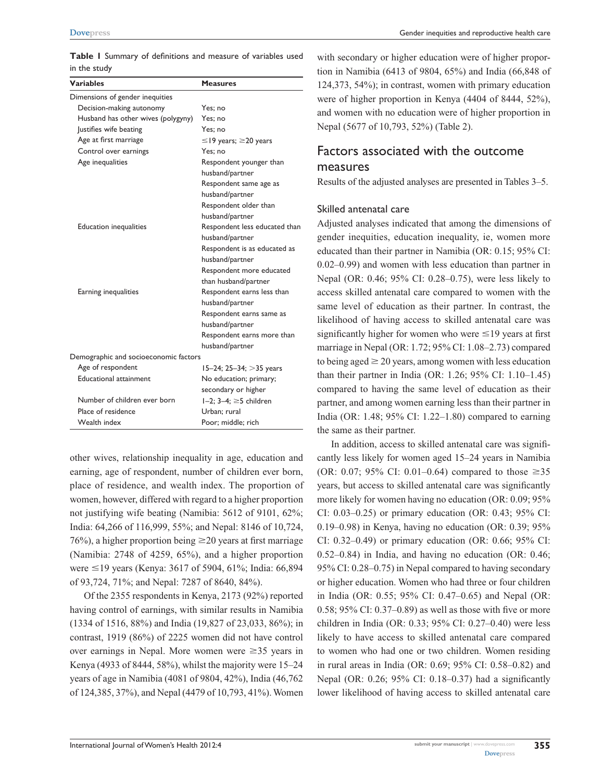**Table 1** Summary of definitions and measure of variables used in the study

| <b>Variables</b>                      | <b>Measures</b>                   |
|---------------------------------------|-----------------------------------|
| Dimensions of gender inequities       |                                   |
| Decision-making autonomy              | Yes; no                           |
| Husband has other wives (polygyny)    | Yes: no                           |
| Justifies wife beating                | Yes: no                           |
| Age at first marriage                 | $\leq$ 19 years; $\geq$ 20 years  |
| Control over earnings                 | Yes: no                           |
| Age inequalities                      | Respondent younger than           |
|                                       | husband/partner                   |
|                                       | Respondent same age as            |
|                                       | husband/partner                   |
|                                       | Respondent older than             |
|                                       | husband/partner                   |
| <b>Education inequalities</b>         | Respondent less educated than     |
|                                       | husband/partner                   |
|                                       | Respondent is as educated as      |
|                                       | husband/partner                   |
|                                       | Respondent more educated          |
|                                       | than husband/partner              |
| Earning inequalities                  | Respondent earns less than        |
|                                       | husband/partner                   |
|                                       | Respondent earns same as          |
|                                       | husband/partner                   |
|                                       | Respondent earns more than        |
|                                       | husband/partner                   |
| Demographic and socioeconomic factors |                                   |
| Age of respondent                     | $15-24$ ; 25-34; $>35$ years      |
| <b>Educational attainment</b>         | No education; primary;            |
|                                       | secondary or higher               |
| Number of children ever born          | $1-2$ ; $3-4$ ; $\geq$ 5 children |
| Place of residence                    | Urban: rural                      |
| Wealth index                          | Poor; middle; rich                |

other wives, relationship inequality in age, education and earning, age of respondent, number of children ever born, place of residence, and wealth index. The proportion of women, however, differed with regard to a higher proportion not justifying wife beating (Namibia: 5612 of 9101, 62%; India: 64,266 of 116,999, 55%; and Nepal: 8146 of 10,724, 76%), a higher proportion being  $\geq$ 20 years at first marriage (Namibia: 2748 of 4259, 65%), and a higher proportion were  $\leq$ 19 years (Kenya: 3617 of 5904, 61%; India: 66,894 of 93,724, 71%; and Nepal: 7287 of 8640, 84%).

Of the 2355 respondents in Kenya, 2173 (92%) reported having control of earnings, with similar results in Namibia (1334 of 1516, 88%) and India (19,827 of 23,033, 86%); in contrast, 1919 (86%) of 2225 women did not have control over earnings in Nepal. More women were  $\geq 35$  years in Kenya (4933 of 8444, 58%), whilst the majority were 15–24 years of age in Namibia (4081 of 9804, 42%), India (46,762 of 124,385, 37%), and Nepal (4479 of 10,793, 41%). Women with secondary or higher education were of higher proportion in Namibia (6413 of 9804, 65%) and India (66,848 of 124,373, 54%); in contrast, women with primary education were of higher proportion in Kenya (4404 of 8444, 52%), and women with no education were of higher proportion in Nepal (5677 of 10,793, 52%) (Table 2).

# Factors associated with the outcome measures

Results of the adjusted analyses are presented in Tables 3–5.

#### Skilled antenatal care

Adjusted analyses indicated that among the dimensions of gender inequities, education inequality, ie, women more educated than their partner in Namibia (OR: 0.15; 95% CI: 0.02–0.99) and women with less education than partner in Nepal (OR: 0.46; 95% CI: 0.28–0.75), were less likely to access skilled antenatal care compared to women with the same level of education as their partner. In contrast, the likelihood of having access to skilled antenatal care was significantly higher for women who were  $\leq$ 19 years at first marriage in Nepal (OR: 1.72; 95% CI: 1.08–2.73) compared to being aged  $\geq 20$  years, among women with less education than their partner in India (OR: 1.26; 95% CI: 1.10–1.45) compared to having the same level of education as their partner, and among women earning less than their partner in India (OR: 1.48; 95% CI: 1.22–1.80) compared to earning the same as their partner.

In addition, access to skilled antenatal care was significantly less likely for women aged 15–24 years in Namibia (OR: 0.07; 95% CI: 0.01–0.64) compared to those  $\geq 35$ years, but access to skilled antenatal care was significantly more likely for women having no education (OR: 0.09; 95% CI: 0.03–0.25) or primary education (OR: 0.43; 95% CI: 0.19–0.98) in Kenya, having no education (OR: 0.39; 95% CI: 0.32–0.49) or primary education (OR: 0.66; 95% CI: 0.52–0.84) in India, and having no education (OR: 0.46; 95% CI: 0.28–0.75) in Nepal compared to having secondary or higher education. Women who had three or four children in India (OR: 0.55; 95% CI: 0.47–0.65) and Nepal (OR: 0.58; 95% CI: 0.37–0.89) as well as those with five or more children in India (OR: 0.33; 95% CI: 0.27–0.40) were less likely to have access to skilled antenatal care compared to women who had one or two children. Women residing in rural areas in India (OR: 0.69; 95% CI: 0.58–0.82) and Nepal (OR: 0.26; 95% CI: 0.18–0.37) had a significantly lower likelihood of having access to skilled antenatal care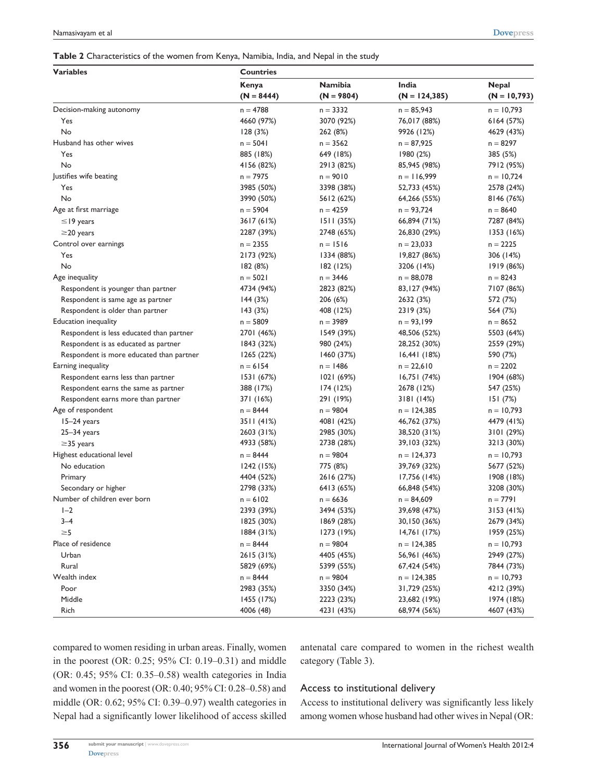| <b>Variables</b>                                                      | <b>Countries</b> |                       |                  |                |  |
|-----------------------------------------------------------------------|------------------|-----------------------|------------------|----------------|--|
|                                                                       | Kenya            | Namibia               | India            | <b>Nepal</b>   |  |
|                                                                       | $(N = 8444)$     | $(N = 9804)$          | $(N = 124, 385)$ | $(N = 10,793)$ |  |
| Decision-making autonomy                                              | $n = 4788$       | $n = 3332$            | $n = 85,943$     | $n = 10,793$   |  |
| Yes                                                                   | 4660 (97%)       | 3070 (92%)            | 76,017 (88%)     | 6164(57%)      |  |
| No                                                                    | 128(3%)          | 262 (8%)              | 9926 (12%)       | 4629 (43%)     |  |
| Husband has other wives                                               | $n = 5041$       | $n = 3562$            | $n = 87,925$     | $n = 8297$     |  |
| Yes                                                                   | 885 (18%)        | 649 (18%)             | 1980(2%)         | 385 (5%)       |  |
| No                                                                    | 4156 (82%)       | 2913 (82%)            | 85,945 (98%)     | 7912 (95%)     |  |
| Justifies wife beating                                                | $n = 7975$       | $n = 9010$            | $n = 116,999$    | $n = 10,724$   |  |
| Yes                                                                   | 3985 (50%)       | 3398 (38%)            | 52,733 (45%)     | 2578 (24%)     |  |
| No                                                                    | 3990 (50%)       | 5612 (62%)            | 64,266 (55%)     | 8146 (76%)     |  |
| Age at first marriage                                                 | $n = 5904$       | $n = 4259$            | $n = 93,724$     | $n = 8640$     |  |
| $\leq$ 19 years                                                       | 3617 (61%)       | 1511 (35%)            | 66,894 (71%)     | 7287 (84%)     |  |
| $\geq$ 20 years                                                       | 2287 (39%)       | 2748 (65%)            | 26,830 (29%)     | 1353 (16%)     |  |
| Control over earnings                                                 | $n = 2355$       | $n = 1516$            | $n = 23,033$     | $n = 2225$     |  |
| Yes                                                                   | 2173 (92%)       | 1334 (88%)            | 19,827 (86%)     | 306 (14%)      |  |
| No                                                                    | 182 (8%)         | 182 (12%)             | 3206 (14%)       | 1919 (86%)     |  |
| Age inequality                                                        | $n = 5021$       | $n = 3446$            | $n = 88,078$     | $n = 8243$     |  |
| Respondent is younger than partner                                    | 4734 (94%)       | 2823 (82%)            | 83, 127 (94%)    | 7107 (86%)     |  |
|                                                                       |                  |                       | 2632 (3%)        |                |  |
| Respondent is same age as partner<br>Respondent is older than partner | 144(3%)          | 206 (6%)<br>408 (12%) | 2319 (3%)        | 572 (7%)       |  |
| <b>Education inequality</b>                                           | 143(3%)          |                       |                  | 564 (7%)       |  |
|                                                                       | $n = 5809$       | $n = 3989$            | $n = 93,199$     | $n = 8652$     |  |
| Respondent is less educated than partner                              | 2701 (46%)       | 1549 (39%)            | 48,506 (52%)     | 5503 (64%)     |  |
| Respondent is as educated as partner                                  | 1843 (32%)       | 980 (24%)             | 28,252 (30%)     | 2559 (29%)     |  |
| Respondent is more educated than partner                              | 1265(22%)        | 1460 (37%)            | 16,441(18%)      | 590 (7%)       |  |
| Earning inequality                                                    | $n = 6154$       | $n = 1486$            | $n = 22,610$     | $n = 2202$     |  |
| Respondent earns less than partner                                    | 1531(67%)        | 1021 (69%)            | 16,751(74%)      | 1904 (68%)     |  |
| Respondent earns the same as partner                                  | 388 (17%)        | 174 (12%)             | 2678 (12%)       | 547 (25%)      |  |
| Respondent earns more than partner                                    | 371 (16%)        | 291 (19%)             | 3181 (14%)       | 151(7%)        |  |
| Age of respondent                                                     | $n = 8444$       | $n = 9804$            | $n = 124,385$    | $n = 10,793$   |  |
| 15–24 years                                                           | 3511 (41%)       | 4081 (42%)            | 46,762 (37%)     | 4479 (41%)     |  |
| $25 - 34$ years                                                       | 2603 (31%)       | 2985 (30%)            | 38,520 (31%)     | 3101 (29%)     |  |
| $\geq$ 35 years                                                       | 4933 (58%)       | 2738 (28%)            | 39,103 (32%)     | 3213 (30%)     |  |
| Highest educational level                                             | $n = 8444$       | $n = 9804$            | $n = 124,373$    | $n = 10,793$   |  |
| No education                                                          | 1242(15%)        | 775 (8%)              | 39,769 (32%)     | 5677 (52%)     |  |
| Primary                                                               | 4404 (52%)       | 2616 (27%)            | 17,756 (14%)     | 1908 (18%)     |  |
| Secondary or higher                                                   | 2798 (33%)       | 6413 (65%)            | 66,848 (54%)     | 3208 (30%)     |  |
| Number of children ever born                                          | $n = 6102$       | $n = 6636$            | $n = 84,609$     | $n = 7791$     |  |
| $I - 2$                                                               | 2393 (39%)       | 3494 (53%)            | 39,698 (47%)     | 3153 (41%)     |  |
| $3 - 4$                                                               | 1825 (30%)       | 1869 (28%)            | 30,150 (36%)     | 2679 (34%)     |  |
| $\geq 5$                                                              | 1884(31%)        | 1273 (19%)            | 14,761 (17%)     | 1959 (25%)     |  |
| Place of residence                                                    | $n = 8444$       | $n = 9804$            | $n = 124,385$    | $n = 10,793$   |  |
| Urban                                                                 | 2615 (31%)       | 4405 (45%)            | 56,961 (46%)     | 2949 (27%)     |  |
| Rural                                                                 | 5829 (69%)       | 5399 (55%)            | 67,424 (54%)     | 7844 (73%)     |  |
| Wealth index                                                          | $n = 8444$       | n = 9804              | $n = 124,385$    | $n = 10,793$   |  |
| Poor                                                                  | 2983 (35%)       | 3350 (34%)            | 31,729 (25%)     | 4212 (39%)     |  |
| Middle                                                                | 1455 (17%)       | 2223 (23%)            | 23,682 (19%)     | 1974 (18%)     |  |
| Rich                                                                  | 4006 (48)        | 4231 (43%)            | 68,974 (56%)     | 4607 (43%)     |  |

compared to women residing in urban areas. Finally, women in the poorest (OR: 0.25; 95% CI: 0.19–0.31) and middle (OR: 0.45; 95% CI: 0.35–0.58) wealth categories in India and women in the poorest (OR: 0.40; 95% CI: 0.28–0.58) and middle (OR: 0.62; 95% CI: 0.39–0.97) wealth categories in Nepal had a significantly lower likelihood of access skilled antenatal care compared to women in the richest wealth category (Table 3).

#### Access to institutional delivery

Access to institutional delivery was significantly less likely among women whose husband had other wives in Nepal (OR: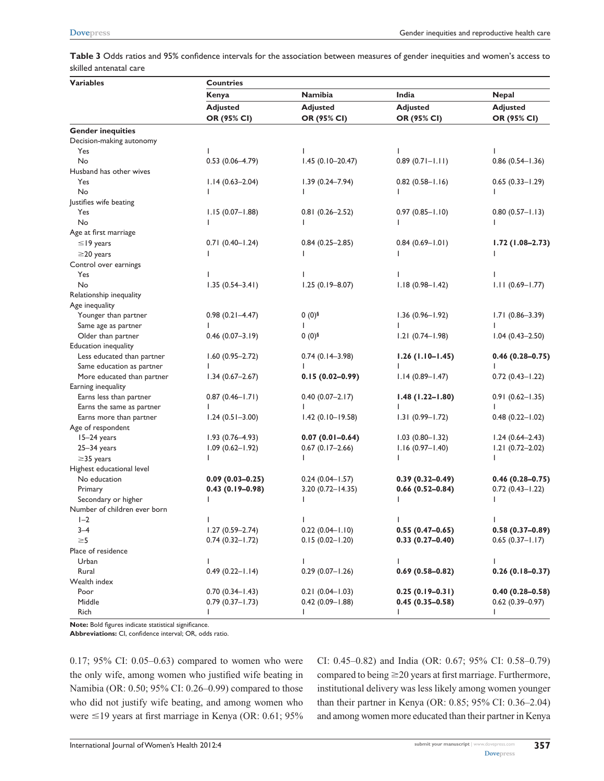**Table 3** Odds ratios and 95% confidence intervals for the association between measures of gender inequities and women's access to skilled antenatal care

| <b>Variables</b>             | <b>Countries</b>    |                      |                     |                        |  |
|------------------------------|---------------------|----------------------|---------------------|------------------------|--|
|                              | Kenya               | <b>Namibia</b>       | India               | <b>Nepal</b>           |  |
|                              | <b>Adjusted</b>     | <b>Adjusted</b>      | <b>Adjusted</b>     | <b>Adjusted</b>        |  |
|                              | OR (95% CI)         | OR (95% CI)          | OR (95% CI)         | OR (95% CI)            |  |
| <b>Gender inequities</b>     |                     |                      |                     |                        |  |
| Decision-making autonomy     |                     |                      |                     |                        |  |
| Yes                          |                     |                      |                     |                        |  |
| No                           | $0.53(0.06 - 4.79)$ | $1.45(0.10-20.47)$   | $0.89(0.71 - 1.11)$ | $0.86$ $(0.54 - 1.36)$ |  |
| Husband has other wives      |                     |                      |                     |                        |  |
| Yes                          | $1.14(0.63 - 2.04)$ | $1.39(0.24 - 7.94)$  | $0.82$ (0.58-1.16)  | $0.65(0.33 - 1.29)$    |  |
| No                           |                     |                      |                     |                        |  |
| Justifies wife beating       |                     |                      |                     |                        |  |
| Yes                          | $1.15(0.07 - 1.88)$ | $0.81(0.26 - 2.52)$  | $0.97(0.85 - 1.10)$ | $0.80(0.57 - 1.13)$    |  |
| No                           |                     |                      | L                   |                        |  |
| Age at first marriage        |                     |                      |                     |                        |  |
| $\leq$ 19 years              | $0.71(0.40 - 1.24)$ | $0.84(0.25 - 2.85)$  | $0.84(0.69 - 1.01)$ | $1.72(1.08 - 2.73)$    |  |
| $\geq$ 20 years              |                     |                      |                     |                        |  |
|                              |                     |                      |                     |                        |  |
| Control over earnings        |                     |                      |                     |                        |  |
| Yes                          |                     |                      |                     |                        |  |
| No                           | $1.35(0.54 - 3.41)$ | $1.25(0.19 - 8.07)$  | $1.18(0.98 - 1.42)$ | $1.11(0.69 - 1.77)$    |  |
| Relationship inequality      |                     |                      |                     |                        |  |
| Age inequality               |                     |                      |                     |                        |  |
| Younger than partner         | $0.98(0.21 - 4.47)$ | $0(0)^{5}$           | $1.36(0.96 - 1.92)$ | $1.71(0.86 - 3.39)$    |  |
| Same age as partner          |                     |                      | L                   |                        |  |
| Older than partner           | $0.46(0.07 - 3.19)$ | $0(0)^{6}$           | $1.21(0.74 - 1.98)$ | $1.04(0.43 - 2.50)$    |  |
| Education inequality         |                     |                      |                     |                        |  |
| Less educated than partner   | $1.60(0.95 - 2.72)$ | $0.74(0.14-3.98)$    | $1.26$ (1.10-1.45)  | $0.46(0.28 - 0.75)$    |  |
| Same education as partner    |                     |                      |                     |                        |  |
| More educated than partner   | $1.34(0.67 - 2.67)$ | $0.15(0.02 - 0.99)$  | $1.14(0.89 - 1.47)$ | $0.72(0.43 - 1.22)$    |  |
| Earning inequality           |                     |                      |                     |                        |  |
| Earns less than partner      | $0.87(0.46 - 1.71)$ | $0.40(0.07 - 2.17)$  | $1.48(1.22 - 1.80)$ | $0.91(0.62 - 1.35)$    |  |
| Earns the same as partner    |                     |                      |                     |                        |  |
| Earns more than partner      | $1.24(0.51 - 3.00)$ | $1.42(0.10 - 19.58)$ | $1.31(0.99 - 1.72)$ | $0.48(0.22 - 1.02)$    |  |
| Age of respondent            |                     |                      |                     |                        |  |
| $15-24$ years                | $1.93(0.76 - 4.93)$ | $0.07(0.01 - 0.64)$  | $1.03(0.80 - 1.32)$ | $1.24(0.64 - 2.43)$    |  |
| $25 - 34$ years              | $1.09(0.62 - 1.92)$ | $0.67(0.17-2.66)$    | $1.16(0.97 - 1.40)$ | $1.21(0.72 - 2.02)$    |  |
| $\geq$ 35 years              | L                   |                      | $\mathbf{I}$        | L                      |  |
| Highest educational level    |                     |                      |                     |                        |  |
| No education                 | $0.09(0.03 - 0.25)$ | $0.24(0.04 - 1.57)$  | $0.39(0.32 - 0.49)$ | $0.46(0.28 - 0.75)$    |  |
| Primary                      | $0.43(0.19-0.98)$   | $3.20(0.72 - 14.35)$ | $0.66(0.52 - 0.84)$ | $0.72(0.43 - 1.22)$    |  |
| Secondary or higher          |                     |                      |                     |                        |  |
| Number of children ever born |                     |                      |                     |                        |  |
| $I - 2$                      |                     |                      |                     |                        |  |
| $3 - 4$                      | $1.27(0.59 - 2.74)$ | $0.22(0.04 - 1.10)$  | $0.55(0.47-0.65)$   | $0.58(0.37 - 0.89)$    |  |
| $\geq 5$                     | $0.74(0.32 - 1.72)$ | $0.15(0.02 - 1.20)$  | $0.33(0.27 - 0.40)$ | $0.65(0.37 - 1.17)$    |  |
| Place of residence           |                     |                      |                     |                        |  |
| Urban                        | L                   | L                    | $\mathbf{L}$        | L                      |  |
| Rural                        | $0.49(0.22 - 1.14)$ | $0.29(0.07 - 1.26)$  | $0.69(0.58 - 0.82)$ | $0.26(0.18 - 0.37)$    |  |
| Wealth index                 |                     |                      |                     |                        |  |
| Poor                         | $0.70(0.34 - 1.43)$ | $0.21(0.04-1.03)$    | $0.25(0.19-0.31)$   | $0.40(0.28 - 0.58)$    |  |
| Middle                       | $0.79(0.37 - 1.73)$ | $0.42(0.09 - 1.88)$  | $0.45(0.35 - 0.58)$ | $0.62(0.39 - 0.97)$    |  |
| Rich                         |                     |                      | L                   |                        |  |

**Note:** Bold figures indicate statistical significance.

**Abbreviations:** CI, confidence interval; OR, odds ratio.

0.17; 95% CI: 0.05–0.63) compared to women who were the only wife, among women who justified wife beating in Namibia (OR: 0.50; 95% CI: 0.26–0.99) compared to those who did not justify wife beating, and among women who were  $\leq$ 19 years at first marriage in Kenya (OR: 0.61; 95%) CI: 0.45–0.82) and India (OR: 0.67; 95% CI: 0.58–0.79) compared to being  $\geq$  20 years at first marriage. Furthermore, institutional delivery was less likely among women younger than their partner in Kenya (OR: 0.85; 95% CI: 0.36–2.04) and among women more educated than their partner in Kenya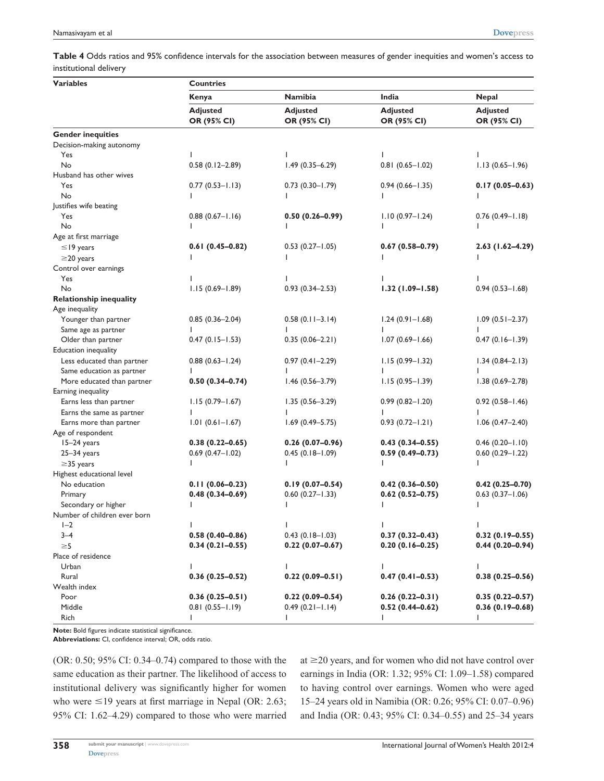**Table 4** Odds ratios and 95% confidence intervals for the association between measures of gender inequities and women's access to institutional delivery

| <b>Variables</b>               | <b>Countries</b>       |                     |                     |                        |  |
|--------------------------------|------------------------|---------------------|---------------------|------------------------|--|
|                                | Kenya                  | <b>Namibia</b>      | India               | <b>Nepal</b>           |  |
|                                | <b>Adjusted</b>        | <b>Adjusted</b>     | <b>Adjusted</b>     | <b>Adjusted</b>        |  |
|                                | OR (95% CI)            | OR (95% CI)         | OR (95% CI)         | OR (95% CI)            |  |
| <b>Gender inequities</b>       |                        |                     |                     |                        |  |
| Decision-making autonomy       |                        |                     |                     |                        |  |
| Yes                            |                        |                     |                     |                        |  |
| No                             | $0.58(0.12 - 2.89)$    | $1.49(0.35 - 6.29)$ | $0.81(0.65 - 1.02)$ | $1.13(0.65 - 1.96)$    |  |
| Husband has other wives        |                        |                     |                     |                        |  |
| Yes                            | $0.77(0.53 - 1.13)$    | $0.73(0.30 - 1.79)$ | $0.94(0.66 - 1.35)$ | $0.17(0.05 - 0.63)$    |  |
| No                             |                        |                     |                     |                        |  |
| Justifies wife beating         |                        |                     |                     |                        |  |
| Yes                            | $0.88(0.67 - 1.16)$    | $0.50(0.26 - 0.99)$ | $1.10(0.97 - 1.24)$ | $0.76(0.49 - 1.18)$    |  |
| No                             |                        |                     |                     |                        |  |
| Age at first marriage          |                        |                     |                     |                        |  |
| $\leq$ 19 years                | $0.61(0.45-0.82)$      | $0.53(0.27 - 1.05)$ | $0.67(0.58 - 0.79)$ | 2.63 (1.62-4.29)       |  |
| $\geq$ 20 years                |                        |                     |                     |                        |  |
| Control over earnings          |                        |                     |                     |                        |  |
| Yes                            |                        |                     |                     |                        |  |
| No                             | $1.15(0.69 - 1.89)$    | $0.93(0.34 - 2.53)$ | $1.32(1.09 - 1.58)$ | $0.94(0.53 - 1.68)$    |  |
| <b>Relationship inequality</b> |                        |                     |                     |                        |  |
| Age inequality                 |                        |                     |                     |                        |  |
| Younger than partner           | $0.85(0.36 - 2.04)$    | $0.58(0.11 - 3.14)$ | $1.24(0.91 - 1.68)$ | $1.09(0.51 - 2.37)$    |  |
| Same age as partner            |                        |                     |                     |                        |  |
| Older than partner             | $0.47(0.15 - 1.53)$    | $0.35(0.06 - 2.21)$ | $1.07(0.69 - 1.66)$ | $0.47(0.16 - 1.39)$    |  |
| Education inequality           |                        |                     |                     |                        |  |
| Less educated than partner     | $0.88$ $(0.63 - 1.24)$ | $0.97(0.41 - 2.29)$ | $1.15(0.99 - 1.32)$ | $1.34(0.84 - 2.13)$    |  |
| Same education as partner      |                        |                     |                     |                        |  |
| More educated than partner     | $0.50(0.34 - 0.74)$    | $1.46(0.56 - 3.79)$ | $1.15(0.95 - 1.39)$ | $1.38(0.69 - 2.78)$    |  |
| Earning inequality             |                        |                     |                     |                        |  |
| Earns less than partner        | $1.15(0.79 - 1.67)$    | $1.35(0.56 - 3.29)$ | $0.99(0.82 - 1.20)$ | $0.92(0.58 - 1.46)$    |  |
| Earns the same as partner      |                        |                     |                     |                        |  |
| Earns more than partner        | $1.01(0.61 - 1.67)$    | $1.69(0.49 - 5.75)$ | $0.93(0.72 - 1.21)$ | $1.06(0.47 - 2.40)$    |  |
| Age of respondent              |                        |                     |                     |                        |  |
| 15-24 years                    | $0.38(0.22 - 0.65)$    | $0.26(0.07-0.96)$   | $0.43(0.34 - 0.55)$ | $0.46(0.20 - 1.10)$    |  |
| $25 - 34$ years                | $0.69$ (0.47-1.02)     | $0.45(0.18 - 1.09)$ | $0.59(0.49 - 0.73)$ | $0.60(0.29 - 1.22)$    |  |
| $\geq$ 35 years                |                        |                     |                     |                        |  |
| Highest educational level      |                        |                     |                     |                        |  |
| No education                   | $0.11(0.06 - 0.23)$    | $0.19(0.07 - 0.54)$ | $0.42(0.36 - 0.50)$ | $0.42(0.25 - 0.70)$    |  |
| Primary                        | $0.48(0.34 - 0.69)$    | $0.60(0.27 - 1.33)$ | $0.62(0.52 - 0.75)$ | $0.63$ $(0.37 - 1.06)$ |  |
| Secondary or higher            |                        |                     |                     |                        |  |
| Number of children ever born   |                        |                     |                     |                        |  |
| $I - 2$                        | L                      |                     | L                   |                        |  |
| $3 - 4$                        | $0.58(0.40 - 0.86)$    | $0.43(0.18 - 1.03)$ | $0.37(0.32 - 0.43)$ | $0.32(0.19 - 0.55)$    |  |
| $\geq 5$                       | $0.34(0.21 - 0.55)$    | $0.22(0.07 - 0.67)$ | $0.20(0.16 - 0.25)$ | $0.44(0.20 - 0.94)$    |  |
| Place of residence             |                        |                     |                     |                        |  |
| Urban                          |                        | $\mathbf{I}$        | L                   | L                      |  |
| Rural                          | $0.36(0.25 - 0.52)$    | $0.22(0.09 - 0.51)$ | $0.47(0.41 - 0.53)$ | $0.38(0.25 - 0.56)$    |  |
| Wealth index                   |                        |                     |                     |                        |  |
| Poor                           | $0.36(0.25-0.51)$      | $0.22(0.09 - 0.54)$ | $0.26(0.22-0.31)$   | $0.35(0.22 - 0.57)$    |  |
| Middle                         | $0.81(0.55 - 1.19)$    | $0.49(0.21 - 1.14)$ | $0.52(0.44 - 0.62)$ | $0.36(0.19 - 0.68)$    |  |
| Rich                           |                        | $\mathsf{I}$        | L                   |                        |  |

**Note:** Bold figures indicate statistical significance.

**Abbreviations:** CI, confidence interval; OR, odds ratio.

(OR: 0.50; 95% CI: 0.34–0.74) compared to those with the same education as their partner. The likelihood of access to institutional delivery was significantly higher for women who were  $\leq$ 19 years at first marriage in Nepal (OR: 2.63; 95% CI: 1.62–4.29) compared to those who were married at  $\geq$ 20 years, and for women who did not have control over earnings in India (OR: 1.32; 95% CI: 1.09–1.58) compared to having control over earnings. Women who were aged 15–24 years old in Namibia (OR: 0.26; 95% CI: 0.07–0.96) and India (OR: 0.43; 95% CI: 0.34–0.55) and 25–34 years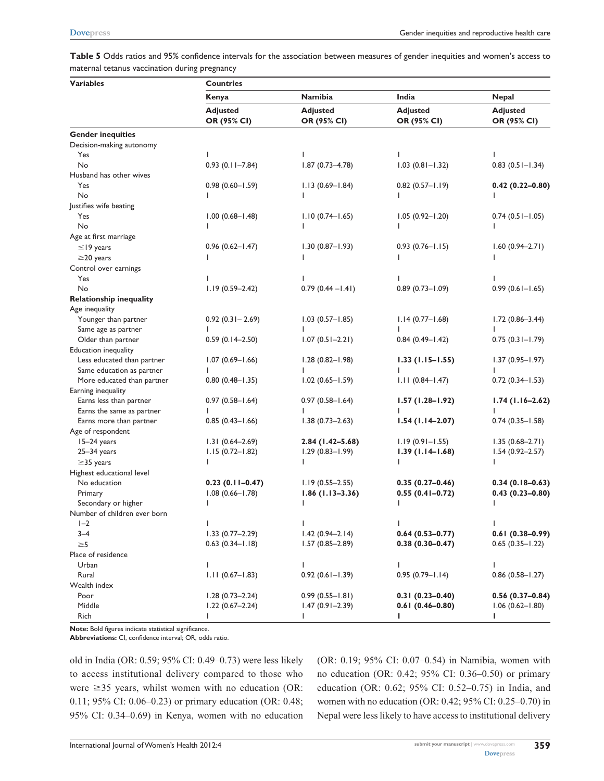**Table 5** Odds ratios and 95% confidence intervals for the association between measures of gender inequities and women's access to maternal tetanus vaccination during pregnancy

| <b>Variables</b>               | <b>Countries</b>               |                                |                                |                                |  |
|--------------------------------|--------------------------------|--------------------------------|--------------------------------|--------------------------------|--|
|                                | Kenya                          | <b>Namibia</b>                 | India                          | <b>Nepal</b>                   |  |
|                                | <b>Adjusted</b><br>OR (95% CI) | <b>Adjusted</b><br>OR (95% CI) | <b>Adjusted</b><br>OR (95% CI) | <b>Adjusted</b><br>OR (95% CI) |  |
| <b>Gender inequities</b>       |                                |                                |                                |                                |  |
| Decision-making autonomy       |                                |                                |                                |                                |  |
| Yes                            | ı                              |                                |                                |                                |  |
| No                             | $0.93$ $(0.11 - 7.84)$         | $1.87(0.73 - 4.78)$            | $1.03(0.81 - 1.32)$            | $0.83$ $(0.51 - 1.34)$         |  |
| Husband has other wives        |                                |                                |                                |                                |  |
| Yes                            | $0.98(0.60 - 1.59)$            | $1.13(0.69 - 1.84)$            | $0.82$ (0.57-1.19)             | $0.42(0.22 - 0.80)$            |  |
| No                             |                                |                                |                                |                                |  |
| Justifies wife beating         |                                |                                |                                |                                |  |
| Yes                            | $1.00(0.68 - 1.48)$            | $1.10(0.74 - 1.65)$            | $1.05(0.92 - 1.20)$            | $0.74$ (0.5 l – l.05)          |  |
| No                             |                                |                                |                                |                                |  |
| Age at first marriage          |                                |                                |                                |                                |  |
| $\leq$ 19 years                | $0.96(0.62 - 1.47)$            | $1.30(0.87 - 1.93)$            | $0.93(0.76 - 1.15)$            | $1.60(0.94 - 2.71)$            |  |
| $\geq$ 20 years                |                                |                                |                                |                                |  |
|                                |                                |                                |                                |                                |  |
| Control over earnings          |                                |                                |                                |                                |  |
| Yes<br>No                      |                                |                                |                                |                                |  |
|                                | $1.19(0.59 - 2.42)$            | $0.79(0.44 - 1.41)$            | $0.89$ (0.73-1.09)             | $0.99(0.61 - 1.65)$            |  |
| <b>Relationship inequality</b> |                                |                                |                                |                                |  |
| Age inequality                 |                                |                                |                                |                                |  |
| Younger than partner           | $0.92$ (0.31 - 2.69)           | $1.03(0.57 - 1.85)$            | $1.14(0.77 - 1.68)$            | $1.72(0.86 - 3.44)$            |  |
| Same age as partner            |                                |                                |                                |                                |  |
| Older than partner             | $0.59(0.14 - 2.50)$            | $1.07(0.51 - 2.21)$            | $0.84$ (0.49-1.42)             | $0.75(0.31 - 1.79)$            |  |
| Education inequality           |                                |                                |                                |                                |  |
| Less educated than partner     | $1.07(0.69 - 1.66)$            | $1.28(0.82 - 1.98)$            | $1.33(1.15 - 1.55)$            | $1.37(0.95 - 1.97)$            |  |
| Same education as partner      |                                |                                |                                |                                |  |
| More educated than partner     | $0.80(0.48 - 1.35)$            | $1.02(0.65 - 1.59)$            | $1.11(0.84 - 1.47)$            | $0.72(0.34 - 1.53)$            |  |
| Earning inequality             |                                |                                |                                |                                |  |
| Earns less than partner        | $0.97(0.58 - 1.64)$            | $0.97(0.58 - 1.64)$            | $1.57(1.28 - 1.92)$            | $1.74(1.16-2.62)$              |  |
| Earns the same as partner      |                                |                                |                                |                                |  |
| Earns more than partner        | $0.85(0.43 - 1.66)$            | $1.38(0.73 - 2.63)$            | $1.54(1.14-2.07)$              | $0.74(0.35 - 1.58)$            |  |
| Age of respondent              |                                |                                |                                |                                |  |
| 15-24 years                    | $1.31(0.64 - 2.69)$            | $2.84(1.42 - 5.68)$            | $1.19(0.91 - 1.55)$            | $1.35(0.68 - 2.71)$            |  |
| $25 - 34$ years                | $1.15(0.72 - 1.82)$            | $1.29(0.83 - 1.99)$            | $1.39(1.14 - 1.68)$            | $1.54(0.92 - 2.57)$            |  |
| $\geq$ 35 years                |                                |                                |                                |                                |  |
| Highest educational level      |                                |                                |                                |                                |  |
| No education                   | $0.23(0.11 - 0.47)$            | $1.19(0.55 - 2.55)$            | $0.35(0.27-0.46)$              | $0.34(0.18-0.63)$              |  |
| Primary                        | $1.08(0.66 - 1.78)$            | $1.86(1.13 - 3.36)$            | $0.55(0.41 - 0.72)$            | $0.43(0.23 - 0.80)$            |  |
| Secondary or higher            |                                |                                |                                |                                |  |
| Number of children ever born   |                                |                                |                                |                                |  |
| $I-2$                          |                                |                                |                                |                                |  |
| $3 - 4$                        | $1.33(0.77 - 2.29)$            | $1.42(0.94 - 2.14)$            | $0.64(0.53 - 0.77)$            | $0.61(0.38 - 0.99)$            |  |
| $\geq 5$                       | $0.63(0.34 - 1.18)$            | $1.57(0.85 - 2.89)$            | $0.38(0.30 - 0.47)$            | $0.65(0.35 - 1.22)$            |  |
| Place of residence             |                                |                                |                                |                                |  |
| Urban                          | ı                              | $\mathbf{I}$                   | $\mathbf{I}$                   | L                              |  |
| Rural                          | $1.11(0.67 - 1.83)$            | $0.92(0.61 - 1.39)$            | $0.95(0.79 - 1.14)$            | $0.86$ $(0.58 - 1.27)$         |  |
| Wealth index                   |                                |                                |                                |                                |  |
| Poor                           | $1.28(0.73 - 2.24)$            | $0.99(0.55 - 1.81)$            | $0.31(0.23 - 0.40)$            | $0.56(0.37-0.84)$              |  |
| Middle                         | $1.22(0.67 - 2.24)$            | $1.47(0.91 - 2.39)$            | $0.61(0.46 - 0.80)$            | $1.06(0.62 - 1.80)$            |  |
| Rich                           | ı                              | T                              | L                              | L                              |  |

**Note:** Bold figures indicate statistical significance.

**Abbreviations:** CI, confidence interval; OR, odds ratio.

old in India (OR: 0.59; 95% CI: 0.49–0.73) were less likely to access institutional delivery compared to those who were  $\geq$ 35 years, whilst women with no education (OR: 0.11; 95% CI: 0.06–0.23) or primary education (OR: 0.48; 95% CI: 0.34–0.69) in Kenya, women with no education

(OR: 0.19; 95% CI: 0.07–0.54) in Namibia, women with no education (OR: 0.42; 95% CI: 0.36–0.50) or primary education (OR: 0.62; 95% CI: 0.52–0.75) in India, and women with no education (OR: 0.42; 95% CI: 0.25–0.70) in Nepal were less likely to have access to institutional delivery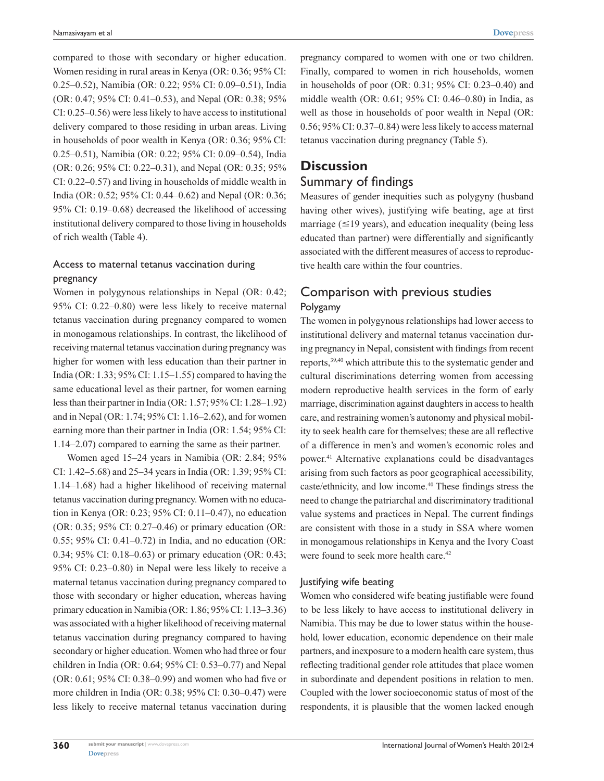compared to those with secondary or higher education. Women residing in rural areas in Kenya (OR: 0.36; 95% CI: 0.25–0.52), Namibia (OR: 0.22; 95% CI: 0.09–0.51), India (OR: 0.47; 95% CI: 0.41–0.53), and Nepal (OR: 0.38; 95% CI: 0.25–0.56) were less likely to have access to institutional delivery compared to those residing in urban areas. Living in households of poor wealth in Kenya (OR: 0.36; 95% CI: 0.25–0.51), Namibia (OR: 0.22; 95% CI: 0.09–0.54), India (OR: 0.26; 95% CI: 0.22–0.31), and Nepal (OR: 0.35; 95% CI: 0.22–0.57) and living in households of middle wealth in India (OR: 0.52; 95% CI: 0.44–0.62) and Nepal (OR: 0.36; 95% CI: 0.19–0.68) decreased the likelihood of accessing institutional delivery compared to those living in households of rich wealth (Table 4).

## Access to maternal tetanus vaccination during pregnancy

Women in polygynous relationships in Nepal (OR: 0.42; 95% CI: 0.22–0.80) were less likely to receive maternal tetanus vaccination during pregnancy compared to women in monogamous relationships. In contrast, the likelihood of receiving maternal tetanus vaccination during pregnancy was higher for women with less education than their partner in India (OR: 1.33; 95% CI: 1.15–1.55) compared to having the same educational level as their partner, for women earning less than their partner in India (OR: 1.57; 95% CI: 1.28–1.92) and in Nepal (OR: 1.74; 95% CI: 1.16–2.62), and for women earning more than their partner in India (OR: 1.54; 95% CI: 1.14–2.07) compared to earning the same as their partner.

Women aged 15–24 years in Namibia (OR: 2.84; 95% CI: 1.42–5.68) and 25–34 years in India (OR: 1.39; 95% CI: 1.14–1.68) had a higher likelihood of receiving maternal tetanus vaccination during pregnancy. Women with no education in Kenya (OR: 0.23; 95% CI: 0.11–0.47), no education (OR: 0.35; 95% CI: 0.27–0.46) or primary education (OR: 0.55; 95% CI: 0.41–0.72) in India, and no education (OR: 0.34; 95% CI: 0.18–0.63) or primary education (OR: 0.43; 95% CI: 0.23–0.80) in Nepal were less likely to receive a maternal tetanus vaccination during pregnancy compared to those with secondary or higher education, whereas having primary education in Namibia (OR: 1.86; 95% CI: 1.13–3.36) was associated with a higher likelihood of receiving maternal tetanus vaccination during pregnancy compared to having secondary or higher education. Women who had three or four children in India (OR: 0.64; 95% CI: 0.53–0.77) and Nepal (OR: 0.61; 95% CI: 0.38–0.99) and women who had five or more children in India (OR: 0.38; 95% CI: 0.30–0.47) were less likely to receive maternal tetanus vaccination during pregnancy compared to women with one or two children. Finally, compared to women in rich households, women in households of poor (OR: 0.31; 95% CI: 0.23–0.40) and middle wealth (OR: 0.61; 95% CI: 0.46–0.80) in India, as well as those in households of poor wealth in Nepal (OR: 0.56; 95% CI: 0.37–0.84) were less likely to access maternal tetanus vaccination during pregnancy (Table 5).

# **Discussion** Summary of findings

Measures of gender inequities such as polygyny (husband having other wives), justifying wife beating, age at first marriage ( $\leq$ 19 years), and education inequality (being less educated than partner) were differentially and significantly associated with the different measures of access to reproductive health care within the four countries.

# Comparison with previous studies Polygamy

The women in polygynous relationships had lower access to institutional delivery and maternal tetanus vaccination during pregnancy in Nepal, consistent with findings from recent reports,39,40 which attribute this to the systematic gender and cultural discriminations deterring women from accessing modern reproductive health services in the form of early marriage, discrimination against daughters in access to health care, and restraining women's autonomy and physical mobility to seek health care for themselves; these are all reflective of a difference in men's and women's economic roles and power.41 Alternative explanations could be disadvantages arising from such factors as poor geographical accessibility, caste/ethnicity, and low income.40 These findings stress the need to change the patriarchal and discriminatory traditional value systems and practices in Nepal. The current findings are consistent with those in a study in SSA where women in monogamous relationships in Kenya and the Ivory Coast were found to seek more health care.<sup>42</sup>

## Justifying wife beating

Women who considered wife beating justifiable were found to be less likely to have access to institutional delivery in Namibia. This may be due to lower status within the household, lower education, economic dependence on their male partners, and inexposure to a modern health care system, thus reflecting traditional gender role attitudes that place women in subordinate and dependent positions in relation to men. Coupled with the lower socioeconomic status of most of the respondents, it is plausible that the women lacked enough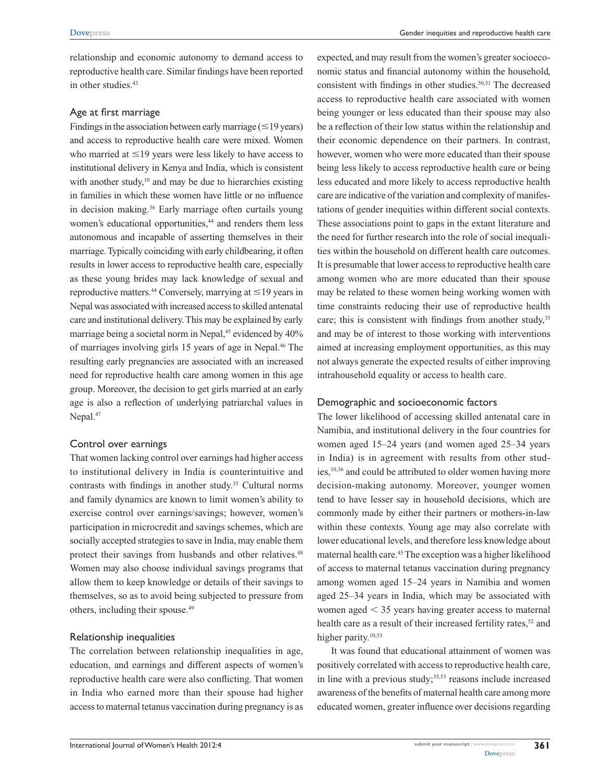relationship and economic autonomy to demand access to reproductive health care. Similar findings have been reported in other studies.<sup>43</sup>

#### Age at first marriage

Findings in the association between early marriage  $(\leq 19 \text{ years})$ and access to reproductive health care were mixed. Women who married at  $\leq$ 19 years were less likely to have access to institutional delivery in Kenya and India, which is consistent with another study, $10$  and may be due to hierarchies existing in families in which these women have little or no influence in decision making.<sup>36</sup> Early marriage often curtails young women's educational opportunities,<sup>44</sup> and renders them less autonomous and incapable of asserting themselves in their marriage. Typically coinciding with early childbearing, it often results in lower access to reproductive health care, especially as these young brides may lack knowledge of sexual and reproductive matters.<sup>44</sup> Conversely, marrying at  $\leq$  19 years in Nepal was associated with increased access to skilled antenatal care and institutional delivery. This may be explained by early marriage being a societal norm in Nepal,<sup>45</sup> evidenced by 40% of marriages involving girls 15 years of age in Nepal.46 The resulting early pregnancies are associated with an increased need for reproductive health care among women in this age group. Moreover, the decision to get girls married at an early age is also a reflection of underlying patriarchal values in Nepal.<sup>47</sup>

#### Control over earnings

That women lacking control over earnings had higher access to institutional delivery in India is counterintuitive and contrasts with findings in another study.<sup>35</sup> Cultural norms and family dynamics are known to limit women's ability to exercise control over earnings/savings; however, women's participation in microcredit and savings schemes, which are socially accepted strategies to save in India, may enable them protect their savings from husbands and other relatives.<sup>48</sup> Women may also choose individual savings programs that allow them to keep knowledge or details of their savings to themselves, so as to avoid being subjected to pressure from others, including their spouse.<sup>49</sup>

#### Relationship inequalities

The correlation between relationship inequalities in age, education, and earnings and different aspects of women's reproductive health care were also conflicting. That women in India who earned more than their spouse had higher access to maternal tetanus vaccination during pregnancy is as expected, and may result from the women's greater socioeconomic status and financial autonomy within the household, consistent with findings in other studies.<sup>50,51</sup> The decreased access to reproductive health care associated with women being younger or less educated than their spouse may also be a reflection of their low status within the relationship and their economic dependence on their partners. In contrast, however, women who were more educated than their spouse being less likely to access reproductive health care or being less educated and more likely to access reproductive health care are indicative of the variation and complexity of manifestations of gender inequities within different social contexts. These associations point to gaps in the extant literature and the need for further research into the role of social inequalities within the household on different health care outcomes. It is presumable that lower access to reproductive health care among women who are more educated than their spouse may be related to these women being working women with time constraints reducing their use of reproductive health care; this is consistent with findings from another study,<sup>35</sup> and may be of interest to those working with interventions aimed at increasing employment opportunities, as this may not always generate the expected results of either improving intrahousehold equality or access to health care.

#### Demographic and socioeconomic factors

The lower likelihood of accessing skilled antenatal care in Namibia, and institutional delivery in the four countries for women aged 15–24 years (and women aged 25–34 years in India) is in agreement with results from other studies,<sup>10,36</sup> and could be attributed to older women having more decision-making autonomy. Moreover, younger women tend to have lesser say in household decisions, which are commonly made by either their partners or mothers-in-law within these contexts. Young age may also correlate with lower educational levels, and therefore less knowledge about maternal health care.45 The exception was a higher likelihood of access to maternal tetanus vaccination during pregnancy among women aged 15–24 years in Namibia and women aged 25–34 years in India, which may be associated with women aged  $<$  35 years having greater access to maternal health care as a result of their increased fertility rates,<sup>52</sup> and higher parity.<sup>10,53</sup>

It was found that educational attainment of women was positively correlated with access to reproductive health care, in line with a previous study; $35,53$  reasons include increased awareness of the benefits of maternal health care among more educated women, greater influence over decisions regarding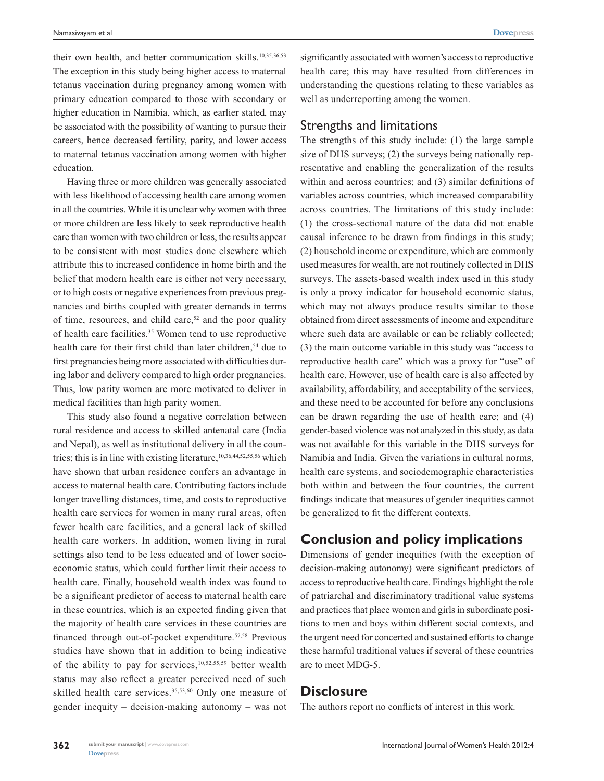their own health, and better communication skills.<sup>10,35,36,53</sup> The exception in this study being higher access to maternal tetanus vaccination during pregnancy among women with primary education compared to those with secondary or higher education in Namibia, which, as earlier stated, may be associated with the possibility of wanting to pursue their careers, hence decreased fertility, parity, and lower access to maternal tetanus vaccination among women with higher education.

Having three or more children was generally associated with less likelihood of accessing health care among women in all the countries. While it is unclear why women with three or more children are less likely to seek reproductive health care than women with two children or less, the results appear to be consistent with most studies done elsewhere which attribute this to increased confidence in home birth and the belief that modern health care is either not very necessary, or to high costs or negative experiences from previous pregnancies and births coupled with greater demands in terms of time, resources, and child care,<sup>52</sup> and the poor quality of health care facilities.35 Women tend to use reproductive health care for their first child than later children,<sup>54</sup> due to first pregnancies being more associated with difficulties during labor and delivery compared to high order pregnancies. Thus, low parity women are more motivated to deliver in medical facilities than high parity women.

This study also found a negative correlation between rural residence and access to skilled antenatal care (India and Nepal), as well as institutional delivery in all the countries; this is in line with existing literature,<sup>10,36,44,52,55,56</sup> which have shown that urban residence confers an advantage in access to maternal health care. Contributing factors include longer travelling distances, time, and costs to reproductive health care services for women in many rural areas, often fewer health care facilities, and a general lack of skilled health care workers. In addition, women living in rural settings also tend to be less educated and of lower socioeconomic status, which could further limit their access to health care. Finally, household wealth index was found to be a significant predictor of access to maternal health care in these countries, which is an expected finding given that the majority of health care services in these countries are financed through out-of-pocket expenditure.57,58 Previous studies have shown that in addition to being indicative of the ability to pay for services, $10,52,55,59$  better wealth status may also reflect a greater perceived need of such skilled health care services.<sup>35,53,60</sup> Only one measure of gender inequity – decision-making autonomy – was not significantly associated with women's access to reproductive health care; this may have resulted from differences in understanding the questions relating to these variables as well as underreporting among the women.

## Strengths and limitations

The strengths of this study include: (1) the large sample size of DHS surveys; (2) the surveys being nationally representative and enabling the generalization of the results within and across countries; and (3) similar definitions of variables across countries, which increased comparability across countries. The limitations of this study include: (1) the cross-sectional nature of the data did not enable causal inference to be drawn from findings in this study; (2) household income or expenditure, which are commonly used measures for wealth, are not routinely collected in DHS surveys. The assets-based wealth index used in this study is only a proxy indicator for household economic status, which may not always produce results similar to those obtained from direct assessments of income and expenditure where such data are available or can be reliably collected; (3) the main outcome variable in this study was "access to reproductive health care" which was a proxy for "use" of health care. However, use of health care is also affected by availability, affordability, and acceptability of the services, and these need to be accounted for before any conclusions can be drawn regarding the use of health care; and (4) gender-based violence was not analyzed in this study, as data was not available for this variable in the DHS surveys for Namibia and India. Given the variations in cultural norms, health care systems, and sociodemographic characteristics both within and between the four countries, the current findings indicate that measures of gender inequities cannot be generalized to fit the different contexts.

# **Conclusion and policy implications**

Dimensions of gender inequities (with the exception of decision-making autonomy) were significant predictors of access to reproductive health care. Findings highlight the role of patriarchal and discriminatory traditional value systems and practices that place women and girls in subordinate positions to men and boys within different social contexts, and the urgent need for concerted and sustained efforts to change these harmful traditional values if several of these countries are to meet MDG-5.

# **Disclosure**

The authors report no conflicts of interest in this work.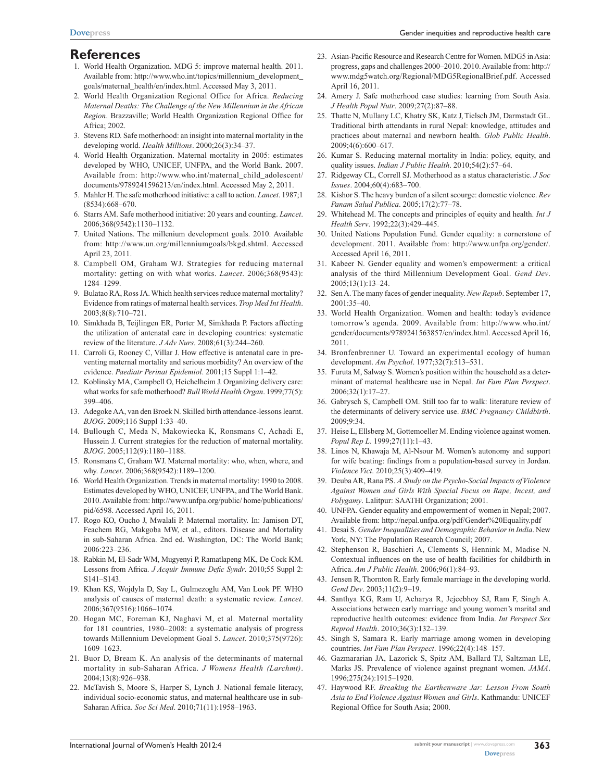# **References**

- 1. World Health Organization. MDG 5: improve maternal health. 2011. Available from: [http://www.who.int/](http://www.who.int/topics/millennium_development_goals/maternal_health/en/index.html)topics/millennium\_development\_ goals/maternal\_health/en/index.html. Accessed May 3, 2011.
- 2. World Health Organization Regional Office for Africa. *Reducing Maternal Deaths: The Challenge of the New Millennium in the African Region*. Brazzaville; World Health Organization Regional Office for Africa; 2002.
- 3. Stevens RD. Safe motherhood: an insight into maternal mortality in the developing world. *Health Millions*. 2000;26(3):34–37.
- 4. World Health Organization. Maternal mortality in 2005: estimates developed by WHO, UNICEF, UNFPA, and the World Bank. 2007. Available from: [http://www.who.int/](http://www.who.int/maternal_child_adolescent/documents/9789241596213/en/index.html)maternal\_child\_adolescent/ documents/9789241596213/en/index.html. Accessed May 2, 2011.
- 5. Mahler H. The safe motherhood initiative: a call to action. *Lancet*. 1987;1 (8534):668–670.
- 6. Starrs AM. Safe motherhood initiative: 20 years and counting. *Lancet*. 2006;368(9542):1130–1132.
- 7. United Nations. The millenium development goals. 2010. Available from: [http://www.un.org/](http://www.un.org/millenniumgoals/bkgd.shtml)millenniumgoals/bkgd.shtml. Accessed April 23, 2011.
- 8. Campbell OM, Graham WJ. Strategies for reducing maternal mortality: getting on with what works. *Lancet*. 2006;368(9543): 1284–1299.
- 9. Bulatao RA, Ross JA. Which health services reduce maternal mortality? Evidence from ratings of maternal health services. *Trop Med Int Health*.  $2003.8(8) \cdot 710 - 721$
- 10. Simkhada B, Teijlingen ER, Porter M, Simkhada P. Factors affecting the utilization of antenatal care in developing countries: systematic review of the literature. *J Adv Nurs*. 2008;61(3):244–260.
- 11. Carroli G, Rooney C, Villar J. How effective is antenatal care in preventing maternal mortality and serious morbidity? An overview of the evidence. *Paediatr Perinat Epidemiol*. 2001;15 Suppl 1:1–42.
- 12. Koblinsky MA, Campbell O, Heichelheim J. Organizing delivery care: what works for safe motherhood? *Bull World Health Organ*. 1999;77(5): 399–406.
- 13. Adegoke AA, van den Broek N. Skilled birth attendance-lessons learnt. *BJOG*. 2009;116 Suppl 1:33–40.
- 14. Bullough C, Meda N, Makowiecka K, Ronsmans C, Achadi E, Hussein J. Current strategies for the reduction of maternal mortality. *BJOG*. 2005;112(9):1180–1188.
- 15. Ronsmans C, Graham WJ. Maternal mortality: who, when, where, and why. *Lancet*. 2006;368(9542):1189–1200.
- 16. World Health Organization. Trends in maternal mortality: 1990 to 2008. Estimates developed by WHO, UNICEF, UNFPA, and The World Bank. 2010. Available from: [http://www.unfpa.org](http://www.unfpa.org/public/ home/publications/pid/6598)/public/ home/publications/ pid/6598. Accessed April 16, 2011.
- 17. Rogo KO, Oucho J, Mwalali P. Maternal mortality. In: Jamison DT, Feachem RG, Makgoba MW, et al., editors. Disease and Mortality in sub-Saharan Africa. 2nd ed. Washington, DC: The World Bank; 2006:223–236.
- 18. Rabkin M, El-Sadr WM, Mugyenyi P, Ramatlapeng MK, De Cock KM. Lessons from Africa. *J Acquir Immune Defic Syndr*. 2010;55 Suppl 2: S141–S143.
- 19. Khan KS, Wojdyla D, Say L, Gulmezoglu AM, Van Look PF. WHO analysis of causes of maternal death: a systematic review. *Lancet*. 2006;367(9516):1066–1074.
- 20. Hogan MC, Foreman KJ, Naghavi M, et al. Maternal mortality for 181 countries, 1980–2008: a systematic analysis of progress towards Millennium Development Goal 5. *Lancet*. 2010;375(9726): 1609–1623.
- 21. Buor D, Bream K. An analysis of the determinants of maternal mortality in sub-Saharan Africa. *J Womens Health (Larchmt)*. 2004;13(8):926–938.
- 22. McTavish S, Moore S, Harper S, Lynch J. National female literacy, individual socio-economic status, and maternal healthcare use in sub-Saharan Africa. *Soc Sci Med*. 2010;71(11):1958–1963.
- 23. Asian-Pacific Resource and Research Centre for Women. MDG5 in Asia: progress, gaps and challenges 2000–2010. 2010. Available from: [http://](http://www.mdg5watch.org/Regional/MDG5RegionalBrief.pdf) [www.mdg5watch.org/](http://www.mdg5watch.org/Regional/MDG5RegionalBrief.pdf)Regional/MDG5RegionalBrief.pdf. Accessed April 16, 2011.
- 24. Amery J. Safe motherhood case studies: learning from South Asia. *J Health Popul Nutr*. 2009;27(2):87–88.
- 25. Thatte N, Mullany LC, Khatry SK, Katz J, Tielsch JM, Darmstadt GL. Traditional birth attendants in rural Nepal: knowledge, attitudes and practices about maternal and newborn health. *Glob Public Health*. 2009;4(6):600–617.
- 26. Kumar S. Reducing maternal mortality in India: policy, equity, and quality issues. *Indian J Public Health*. 2010;54(2):57–64.
- 27. Ridgeway CL, Correll SJ. Motherhood as a status characteristic. *J Soc Issues*. 2004;60(4):683–700.
- 28. Kishor S. The heavy burden of a silent scourge: domestic violence. *Rev Panam Salud Publica*. 2005;17(2):77–78.
- 29. Whitehead M. The concepts and principles of equity and health. *Int J Health Serv*. 1992;22(3):429–445.
- 30. United Nations Population Fund. Gender equality: a cornerstone of development. 2011. Available from: [http://www.unfpa.org](http://www.unfpa.org/gender/)/gender/. Accessed April 16, 2011.
- 31. Kabeer N. Gender equality and women's empowerment: a critical analysis of the third Millennium Development Goal. *Gend Dev*. 2005;13(1):13–24.
- 32. Sen A. The many faces of gender inequality. *New Repub*. September 17, 2001:35–40.
- 33. World Health Organization. Women and health: today's evidence tomorrow's agenda. 2009. Available from: [http://www.who.int/](http://www.who.int/gender/documents/9789241563857/en/index.html) gender/documents/9789241563857/en/index.html. Accessed April 16, 2011.
- 34. Bronfenbrenner U. Toward an experimental ecology of human development. *Am Psychol*. 1977;32(7):513–531.
- 35. Furuta M, Salway S. Women's position within the household as a determinant of maternal healthcare use in Nepal. *Int Fam Plan Perspect*. 2006;32(1):17–27.
- 36. Gabrysch S, Campbell OM. Still too far to walk: literature review of the determinants of delivery service use. *BMC Pregnancy Childbirth*. 2009;9:34.
- 37. Heise L, Ellsberg M, Gottemoeller M. Ending violence against women. *Popul Rep L*. 1999;27(11):1–43.
- 38. Linos N, Khawaja M, Al-Nsour M. Women's autonomy and support for wife beating: findings from a population-based survey in Jordan. *Violence Vict*. 2010;25(3):409–419.
- 39. Deuba AR, Rana PS. *A Study on the Psycho-Social Impacts of Violence Against Women and Girls With Special Focus on Rape, Incest, and Polygamy*. Lalitpur: SAATHI Organization; 2001.
- UNFPA. Gender equality and empowerment of women in Nepal; 2007. Available from:<http://nepal.unfpa.org/pdf/Gender%20Equality.pdf>
- 41. Desai S. *Gender Inequalities and Demographic Behavior in India*. New York, NY: The Population Research Council; 2007.
- 42. Stephenson R, Baschieri A, Clements S, Hennink M, Madise N. Contextual influences on the use of health facilities for childbirth in Africa. *Am J Public Health*. 2006;96(1):84–93.
- 43. Jensen R, Thornton R. Early female marriage in the developing world. *Gend Dev*. 2003;11(2):9–19.
- 44. Santhya KG, Ram U, Acharya R, Jejeebhoy SJ, Ram F, Singh A. Associations between early marriage and young women's marital and reproductive health outcomes: evidence from India. *Int Perspect Sex Reprod Health*. 2010;36(3):132–139.
- 45. Singh S, Samara R. Early marriage among women in developing countries. *Int Fam Plan Perspect*. 1996;22(4):148–157.
- 46. Gazmararian JA, Lazorick S, Spitz AM, Ballard TJ, Saltzman LE, Marks JS. Prevalence of violence against pregnant women. *JAMA*. 1996;275(24):1915–1920.
- 47. Haywood RF. *Breaking the Earthenware Jar: Lesson From South Asia to End Violence Against Women and Girls*. Kathmandu: UNICEF Regional Office for South Asia; 2000.